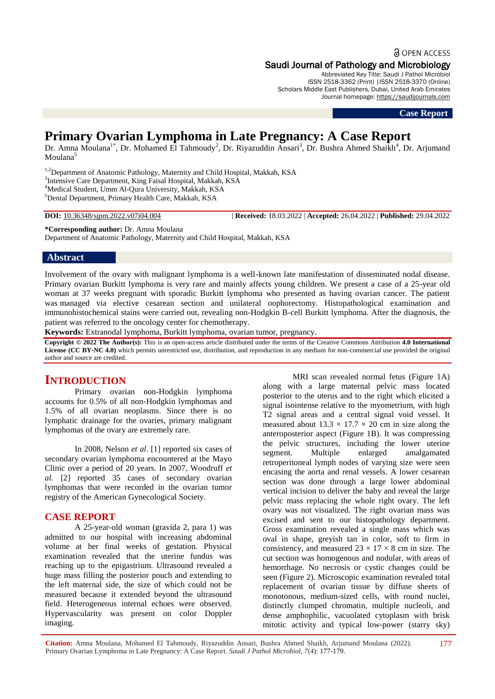### a OPEN ACCESS

### Saudi Journal of Pathology and Microbiology

Abbreviated Key Title: Saudi J Pathol Microbiol ISSN 2518-3362 (Print) |ISSN 2518-3370 (Online) Scholars Middle East Publishers, Dubai, United Arab Emirates Journal homepage: [https://saudijournals.com](https://saudijournals.com/sjpm)

**Case Report**

# **Primary Ovarian Lymphoma in Late Pregnancy: A Case Report**

Dr. Amna Moulana<sup>1\*</sup>, Dr. Mohamed El Tahmoudy<sup>2</sup>, Dr. Riyazuddin Ansari<sup>3</sup>, Dr. Bushra Ahmed Shaikh<sup>4</sup>, Dr. Arjumand Moulana<sup>5</sup>

<sup>1,2</sup>Department of Anatomic Pathology, Maternity and Child Hospital, Makkah, KSA <sup>3</sup>Intensive Care Department, King Faisal Hospital, Makkah, KSA <sup>4</sup>Medical Student, Umm Al-Qura University, Makkah, KSA <sup>5</sup>Dental Department, Primary Health Care, Makkah, KSA

**DOI:** 10.36348/sjpm.2022.v07i04.004 | **Received:** 18.03.2022 | **Accepted:** 26.04.2022 | **Published:** 29.04.2022

**\*Corresponding author:** Dr. Amna Moulana Department of Anatomic Pathology, Maternity and Child Hospital, Makkah, KSA

### **Abstract**

Involvement of the ovary with malignant lymphoma is a well-known late manifestation of disseminated nodal disease. Primary ovarian Burkitt lymphoma is very rare and mainly affects young children. We present a case of a 25-year old woman at 37 weeks pregnant with sporadic Burkitt lymphoma who presented as having ovarian cancer. The patient was managed via elective cesarean section and unilateral oophorectomy. Histopathological examination and immunohistochemical stains were carried out, revealing non-Hodgkin B-cell Burkitt lymphoma. After the diagnosis, the patient was referred to the oncology center for chemotherapy.

**Keywords:** Extranodal lymphoma, Burkitt lymphoma, ovarian tumor, pregnancy.

**Copyright © 2022 The Author(s):** This is an open-access article distributed under the terms of the Creative Commons Attribution **4.0 International License (CC BY-NC 4.0)** which permits unrestricted use, distribution, and reproduction in any medium for non-commercial use provided the original author and source are credited.

# **INTRODUCTION**

Primary ovarian non-Hodgkin lymphoma accounts for 0.5% of all non-Hodgkin lymphomas and 1.5% of all ovarian neoplasms. Since there is no lymphatic drainage for the ovaries, primary malignant lymphomas of the ovary are extremely rare.

In 2008, Nelson *et al*. [1] reported six cases of secondary ovarian lymphoma encountered at the Mayo Clinic over a period of 20 years. In 2007, Woodruff *et al*. [2] reported 35 cases of secondary ovarian lymphomas that were recorded in the ovarian tumor registry of the American Gynecological Society.

## **CASE REPORT**

A 25-year-old woman (gravida 2, para 1) was admitted to our hospital with increasing abdominal volume at her final weeks of gestation. Physical examination revealed that the uterine fundus was reaching up to the epigastrium. Ultrasound revealed a huge mass filling the posterior pouch and extending to the left maternal side, the size of which could not be measured because it extended beyond the ultrasound field. Heterogeneous internal echoes were observed. Hypervascularity was present on color Doppler imaging.

MRI scan revealed normal fetus (Figure 1A) along with a large maternal pelvic mass located posterior to the uterus and to the right which elicited a signal isointense relative to the myometrium, with high T2 signal areas and a central signal void vessel. It measured about  $13.3 \times 17.7 \times 20$  cm in size along the anteroposterior aspect (Figure 1B). It was compressing the pelvic structures, including the lower uterine segment. Multiple enlarged amalgamated retroperitoneal lymph nodes of varying size were seen encasing the aorta and renal vessels. A lower cesarean section was done through a large lower abdominal vertical incision to deliver the baby and reveal the large pelvic mass replacing the whole right ovary. The left ovary was not visualized. The right ovarian mass was excised and sent to our histopathology department. Gross examination revealed a single mass which was oval in shape, greyish tan in color, soft to firm in consistency, and measured  $23 \times 17 \times 8$  cm in size. The cut section was homogenous and nodular, with areas of hemorrhage. No necrosis or cystic changes could be seen (Figure 2). Microscopic examination revealed total replacement of ovarian tissue by diffuse sheets of monotonous, medium-sized cells, with round nuclei, distinctly clumped chromatin, multiple nucleoli, and dense amphophilic, vacuolated cytoplasm with brisk mitotic activity and typical low-power (starry sky)

**Citation:** Amna Moulana, Mohamed El Tahmoudy, Riyazuddin Ansari, Bushra Ahmed Shaikh, Arjumand Moulana (2022). Primary Ovarian Lymphoma in Late Pregnancy: A Case Report. *Saudi J Pathol Microbiol, 7*(4): 177-179. 177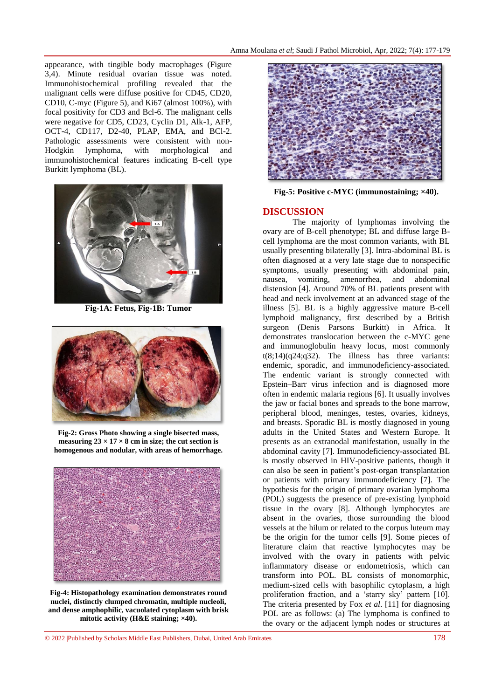appearance, with tingible body macrophages (Figure 3,4). Minute residual ovarian tissue was noted. Immunohistochemical profiling revealed that the malignant cells were diffuse positive for CD45, CD20, CD10, C-myc (Figure 5), and Ki67 (almost 100%), with focal positivity for CD3 and Bcl-6. The malignant cells were negative for CD5, CD23, Cyclin D1, Alk-1, AFP, OCT-4, CD117, D2-40, PLAP, EMA, and BCl-2. Pathologic assessments were consistent with non-Hodgkin lymphoma, with morphological and immunohistochemical features indicating B-cell type Burkitt lymphoma (BL).



**Fig-1A: Fetus, Fig-1B: Tumor**



**Fig-2: Gross Photo showing a single bisected mass, measuring 23 × 17 × 8 cm in size; the cut section is homogenous and nodular, with areas of hemorrhage.**



**Fig-4: Histopathology examination demonstrates round nuclei, distinctly clumped chromatin, multiple nucleoli, and dense amphophilic, vacuolated cytoplasm with brisk mitotic activity (H&E staining; ×40).**



**Fig-5: Positive c-MYC (immunostaining; ×40).**

### **DISCUSSION**

The majority of lymphomas involving the ovary are of B-cell phenotype; BL and diffuse large Bcell lymphoma are the most common variants, with BL usually presenting bilaterally [3]. Intra-abdominal BL is often diagnosed at a very late stage due to nonspecific symptoms, usually presenting with abdominal pain, nausea, vomiting, amenorrhea, and abdominal distension [4]. Around 70% of BL patients present with head and neck involvement at an advanced stage of the illness [5]. BL is a highly aggressive mature B-cell lymphoid malignancy, first described by a British surgeon (Denis Parsons Burkitt) in Africa. It demonstrates translocation between the c-MYC gene and immunoglobulin heavy locus, most commonly  $t(8;14)(q24;q32)$ . The illness has three variants: endemic, sporadic, and immunodeficiency-associated. The endemic variant is strongly connected with Epstein–Barr virus infection and is diagnosed more often in endemic malaria regions [6]. It usually involves the jaw or [facial bones](https://www.sciencedirect.com/topics/medicine-and-dentistry/facial-bone) and spreads to the bone marrow, peripheral blood, [meninges,](https://www.sciencedirect.com/topics/medicine-and-dentistry/meninx) [testes,](https://www.sciencedirect.com/topics/medicine-and-dentistry/testis) ovaries, kidneys, and breasts. Sporadic BL is mostly diagnosed in young adults in the United States and Western Europe. It presents as an extranodal manifestation, usually in the abdominal cavity [7]. Immunodeficiency-associated BL is mostly observed in HIV-positive patients, though it can also be seen in patient's post-organ transplantation or patients with primary immunodeficiency [7]. The hypothesis for the origin of primary ovarian lymphoma (POL) suggests the presence of pre-existing lymphoid tissue in the ovary [8]. Although lymphocytes are absent in the ovaries, those surrounding the blood vessels at the hilum or related to the corpus luteum may be the origin for the tumor cells [9]. Some pieces of literature claim that reactive lymphocytes may be involved with the ovary in patients with pelvic inflammatory disease or endometriosis, which can transform into POL. BL consists of monomorphic, medium-sized cells with basophilic cytoplasm, a high proliferation fraction, and a 'starry sky' pattern [10]. The criteria presented by Fox *et al*. [11] for diagnosing POL are as follows: (a) The lymphoma is confined to the ovary or the adjacent lymph nodes or structures at